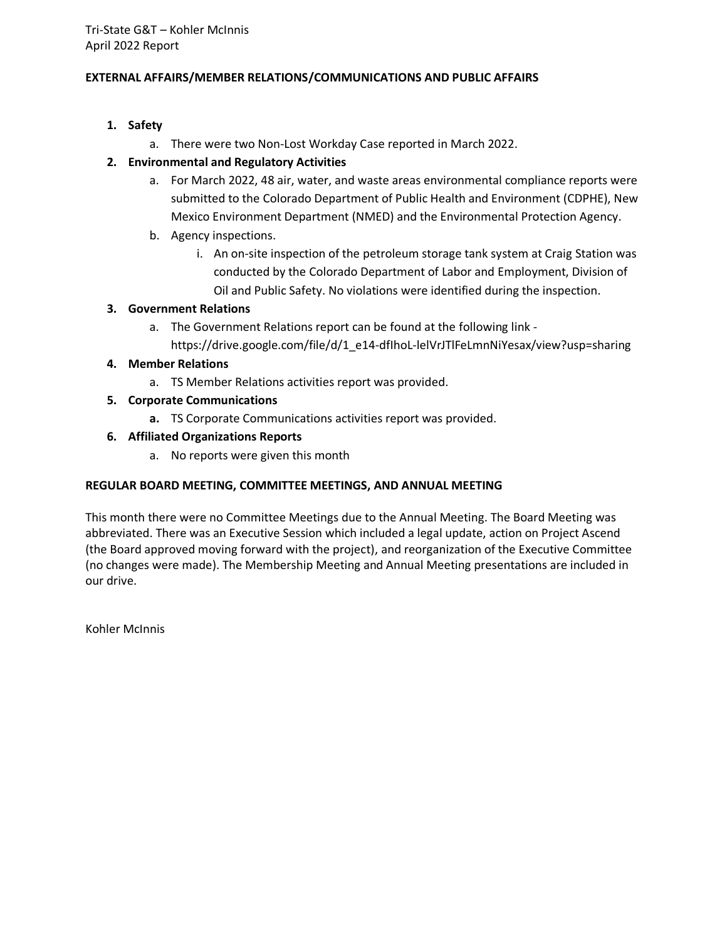# **EXTERNAL AFFAIRS/MEMBER RELATIONS/COMMUNICATIONS AND PUBLIC AFFAIRS**

- **1. Safety**
	- a. There were two Non-Lost Workday Case reported in March 2022.

# **2. Environmental and Regulatory Activities**

- a. For March 2022, 48 air, water, and waste areas environmental compliance reports were submitted to the Colorado Department of Public Health and Environment (CDPHE), New Mexico Environment Department (NMED) and the Environmental Protection Agency.
- b. Agency inspections.
	- i. An on-site inspection of the petroleum storage tank system at Craig Station was conducted by the Colorado Department of Labor and Employment, Division of Oil and Public Safety. No violations were identified during the inspection.

# **3. Government Relations**

a. The Government Relations report can be found at the following link https://drive.google.com/file/d/1\_e14-dfIhoL-lelVrJTlFeLmnNiYesax/view?usp=sharing

# **4. Member Relations**

- a. TS Member Relations activities report was provided.
- **5. Corporate Communications**
	- **a.** TS Corporate Communications activities report was provided.

# **6. Affiliated Organizations Reports**

a. No reports were given this month

# **REGULAR BOARD MEETING, COMMITTEE MEETINGS, AND ANNUAL MEETING**

This month there were no Committee Meetings due to the Annual Meeting. The Board Meeting was abbreviated. There was an Executive Session which included a legal update, action on Project Ascend (the Board approved moving forward with the project), and reorganization of the Executive Committee (no changes were made). The Membership Meeting and Annual Meeting presentations are included in our drive.

Kohler McInnis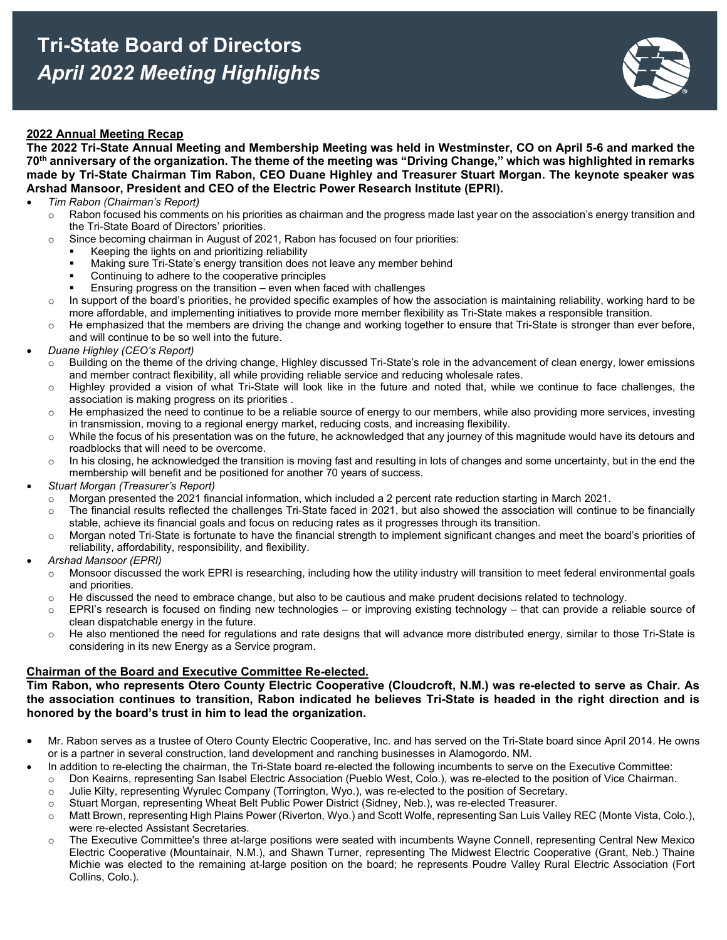

### **2022 Annual Meeting Recap**

**The 2022 Tri-State Annual Meeting and Membership Meeting was held in Westminster, CO on April 5-6 and marked the 70th anniversary of the organization. The theme of the meeting was "Driving Change," which was highlighted in remarks made by Tri-State Chairman Tim Rabon, CEO Duane Highley and Treasurer Stuart Morgan. The keynote speaker was Arshad Mansoor, President and CEO of the Electric Power Research Institute (EPRI).** 

- *Tim Rabon (Chairman's Report)*
	- $\circ$  Rabon focused his comments on his priorities as chairman and the progress made last year on the association's energy transition and the Tri-State Board of Directors' priorities.
	- $\circ$  Since becoming chairman in August of 2021, Rabon has focused on four priorities:
		- Keeping the lights on and prioritizing reliability
		- Making sure Tri-State's energy transition does not leave any member behind
		- Continuing to adhere to the cooperative principles
		- Ensuring progress on the transition even when faced with challenges
	- $\circ$  In support of the board's priorities, he provided specific examples of how the association is maintaining reliability, working hard to be more affordable, and implementing initiatives to provide more member flexibility as Tri-State makes a responsible transition.
	- $\circ$  He emphasized that the members are driving the change and working together to ensure that Tri-State is stronger than ever before, and will continue to be so well into the future.
- *Duane Highley (CEO's Report)*
	- o Building on the theme of the driving change, Highley discussed Tri-State's role in the advancement of clean energy, lower emissions and member contract flexibility, all while providing reliable service and reducing wholesale rates.
	- $\circ$  Highley provided a vision of what Tri-State will look like in the future and noted that, while we continue to face challenges, the association is making progress on its priorities .
	- o He emphasized the need to continue to be a reliable source of energy to our members, while also providing more services, investing in transmission, moving to a regional energy market, reducing costs, and increasing flexibility.
	- $\circ$  While the focus of his presentation was on the future, he acknowledged that any journey of this magnitude would have its detours and roadblocks that will need to be overcome.
	- $\circ$  In his closing, he acknowledged the transition is moving fast and resulting in lots of changes and some uncertainty, but in the end the membership will benefit and be positioned for another 70 years of success.
- *Stuart Morgan (Treasurer's Report)* 
	- $\circ$  Morgan presented the 2021 financial information, which included a 2 percent rate reduction starting in March 2021.
	- $\circ$  The financial results reflected the challenges Tri-State faced in 2021, but also showed the association will continue to be financially stable, achieve its financial goals and focus on reducing rates as it progresses through its transition.
	- $\circ$  Morgan noted Tri-State is fortunate to have the financial strength to implement significant changes and meet the board's priorities of reliability, affordability, responsibility, and flexibility.
- *Arshad Mansoor (EPRI)*
	- $\circ$  Monsoor discussed the work EPRI is researching, including how the utility industry will transition to meet federal environmental goals and priorities.
	- $\circ$  He discussed the need to embrace change, but also to be cautious and make prudent decisions related to technology.
	- $\circ$  EPRI's research is focused on finding new technologies or improving existing technology that can provide a reliable source of clean dispatchable energy in the future.
	- $\circ$  He also mentioned the need for regulations and rate designs that will advance more distributed energy, similar to those Tri-State is considering in its new Energy as a Service program.

#### **Chairman of the Board and Executive Committee Re-elected.**

**Tim Rabon, who represents Otero County Electric Cooperative (Cloudcroft, N.M.) was re-elected to serve as Chair. As the association continues to transition, Rabon indicated he believes Tri-State is headed in the right direction and is honored by the board's trust in him to lead the organization.** 

- Mr. Rabon serves as a trustee of Otero County Electric Cooperative, Inc. and has served on the Tri-State board since April 2014. He owns or is a partner in several construction, land development and ranching businesses in Alamogordo, NM.
	- In addition to re-electing the chairman, the Tri-State board re-elected the following incumbents to serve on the Executive Committee:
		- o Don Keairns, representing San Isabel Electric Association (Pueblo West, Colo.), was re-elected to the position of Vice Chairman.
		- o Julie Kilty, representing Wyrulec Company (Torrington, Wyo.), was re-elected to the position of Secretary.
	- o Stuart Morgan, representing Wheat Belt Public Power District (Sidney, Neb.), was re-elected Treasurer.
	- o Matt Brown, representing High Plains Power (Riverton, Wyo.) and Scott Wolfe, representing San Luis Valley REC (Monte Vista, Colo.), were re-elected Assistant Secretaries.
	- o The Executive Committee's three at-large positions were seated with incumbents Wayne Connell, representing Central New Mexico Electric Cooperative (Mountainair, N.M.), and Shawn Turner, representing The Midwest Electric Cooperative (Grant, Neb.) Thaine Michie was elected to the remaining at-large position on the board; he represents Poudre Valley Rural Electric Association (Fort Collins, Colo.).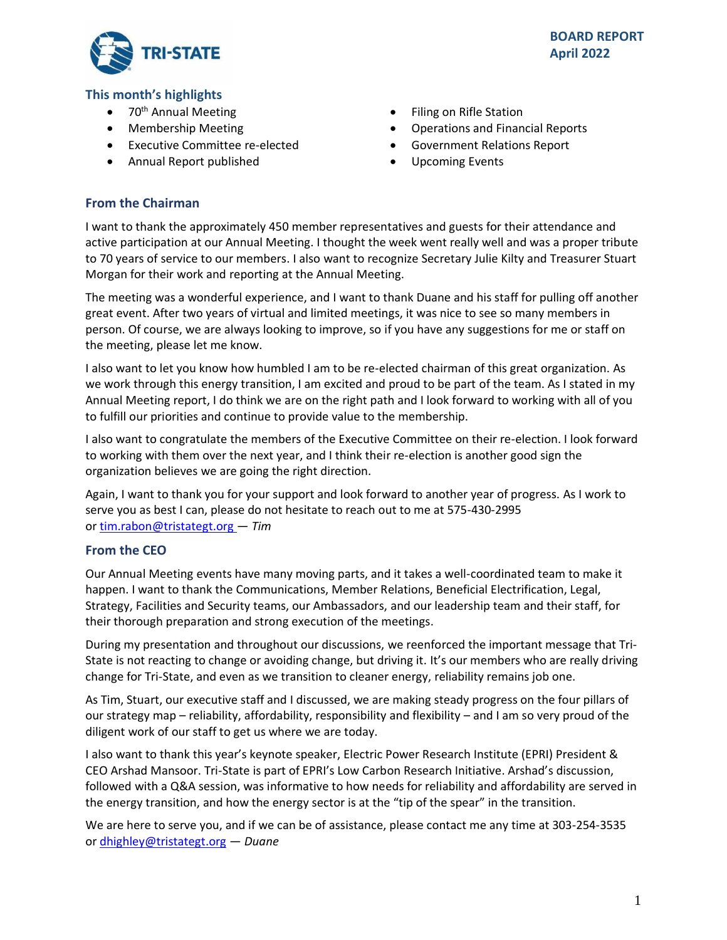

# **This month's highlights**

- 70<sup>th</sup> Annual Meeting
- Membership Meeting
- Executive Committee re-elected
- Annual Report published
- Filing on Rifle Station
- Operations and Financial Reports
- Government Relations Report
- Upcoming Events

# **From the Chairman**

I want to thank the approximately 450 member representatives and guests for their attendance and active participation at our Annual Meeting. I thought the week went really well and was a proper tribute to 70 years of service to our members. I also want to recognize Secretary Julie Kilty and Treasurer Stuart Morgan for their work and reporting at the Annual Meeting.

The meeting was a wonderful experience, and I want to thank Duane and his staff for pulling off another great event. After two years of virtual and limited meetings, it was nice to see so many members in person. Of course, we are always looking to improve, so if you have any suggestions for me or staff on the meeting, please let me know.

I also want to let you know how humbled I am to be re-elected chairman of this great organization. As we work through this energy transition, I am excited and proud to be part of the team. As I stated in my Annual Meeting report, I do think we are on the right path and I look forward to working with all of you to fulfill our priorities and continue to provide value to the membership.

I also want to congratulate the members of the Executive Committee on their re-election. I look forward to working with them over the next year, and I think their re-election is another good sign the organization believes we are going the right direction.

Again, I want to thank you for your support and look forward to another year of progress. As I work to serve you as best I can, please do not hesitate to reach out to me at 575-430-2995 or[tim.rabon@tristategt.org —](mailto:tim.rabon@tristategt.org) *Tim*

# **From the CEO**

Our Annual Meeting events have many moving parts, and it takes a well-coordinated team to make it happen. I want to thank the Communications, Member Relations, Beneficial Electrification, Legal, Strategy, Facilities and Security teams, our Ambassadors, and our leadership team and their staff, for their thorough preparation and strong execution of the meetings.

During my presentation and throughout our discussions, we reenforced the important message that Tri-State is not reacting to change or avoiding change, but driving it. It's our members who are really driving change for Tri-State, and even as we transition to cleaner energy, reliability remains job one.

As Tim, Stuart, our executive staff and I discussed, we are making steady progress on the four pillars of our strategy map – reliability, affordability, responsibility and flexibility – and I am so very proud of the diligent work of our staff to get us where we are today.

I also want to thank this year's keynote speaker, Electric Power Research Institute (EPRI) President & CEO Arshad Mansoor. Tri-State is part of EPRI's Low Carbon Research Initiative. Arshad's discussion, followed with a Q&A session, was informative to how needs for reliability and affordability are served in the energy transition, and how the energy sector is at the "tip of the spear" in the transition.

We are here to serve you, and if we can be of assistance, please contact me any time at 303-254-3535 or [dhighley@tristategt.org](mailto:dhighley@tristategt.org) — *Duane*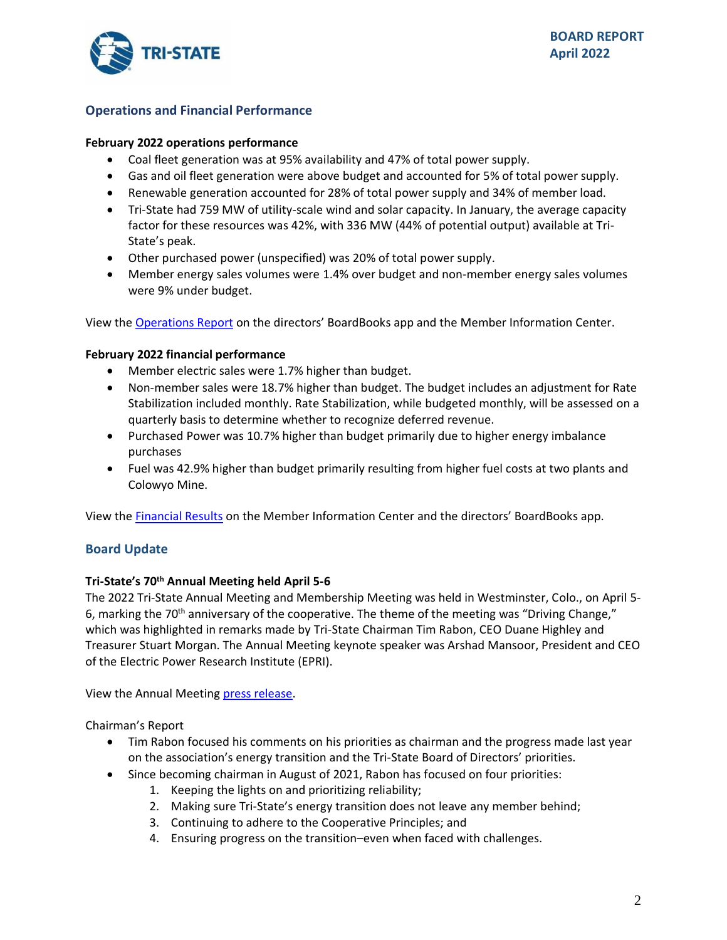

# **Operations and Financial Performance**

#### **February 2022 operations performance**

- Coal fleet generation was at 95% availability and 47% of total power supply.
- Gas and oil fleet generation were above budget and accounted for 5% of total power supply.
- Renewable generation accounted for 28% of total power supply and 34% of member load.
- Tri-State had 759 MW of utility-scale wind and solar capacity. In January, the average capacity factor for these resources was 42%, with 336 MW (44% of potential output) available at Tri-State's peak.
- Other purchased power (unspecified) was 20% of total power supply.
- Member energy sales volumes were 1.4% over budget and non-member energy sales volumes were 9% under budget.

View the [Operations Report](https://mic.tristategt.org/Member%20Managers/2022-04-BOD-EO%20-%20Operations%20Report.pdf) on the directors' BoardBooks app and the Member [Information Center.](https://mic.tristategt.org/Member%20Managers/2020-08-BOD%20-%20Operations%20Report.pdf)

# **February 2022 financial performance**

- Member electric sales were 1.7% higher than budget.
- Non-member sales were 18.7% higher than budget. The budget includes an adjustment for Rate Stabilization included monthly. Rate Stabilization, while budgeted monthly, will be assessed on a quarterly basis to determine whether to recognize deferred revenue.
- Purchased Power was 10.7% higher than budget primarily due to higher energy imbalance purchases
- Fuel was 42.9% higher than budget primarily resulting from higher fuel costs at two plants and Colowyo Mine.

View the [Financial Results](https://mic.tristategt.org/Member%20Managers/2022-04-BOD-FIN%20-%20Financial%20Results.pdf) on the Membe[r](https://mic.tristategt.org/Member%20Managers/2020-08-BOD%20-%20Operations%20Report.pdf) Information Center and the directors' BoardBooks app.

# **Board Update**

# **Tri-State's 70th Annual Meeting held April 5-6**

The 2022 Tri-State Annual Meeting and Membership Meeting was held in Westminster, Colo., on April 5- 6, marking the 70<sup>th</sup> anniversary of the cooperative. The theme of the meeting was "Driving Change," which was highlighted in remarks made by Tri-State Chairman Tim Rabon, CEO Duane Highley and Treasurer Stuart Morgan. The Annual Meeting keynote speaker was Arshad Mansoor, President and CEO of the Electric Power Research Institute (EPRI).

View the Annual Meeting [press release.](https://tristate.coop/advancement-reliable-affordable-responsible-power-highlighted-tri-states-70th-annual-meeting)

Chairman's Report

- Tim Rabon focused his comments on his priorities as chairman and the progress made last year on the association's energy transition and the Tri-State Board of Directors' priorities.
- Since becoming chairman in August of 2021, Rabon has focused on four priorities:
	- 1. Keeping the lights on and prioritizing reliability;
	- 2. Making sure Tri-State's energy transition does not leave any member behind;
	- 3. Continuing to adhere to the Cooperative Principles; and
	- 4. Ensuring progress on the transition–even when faced with challenges.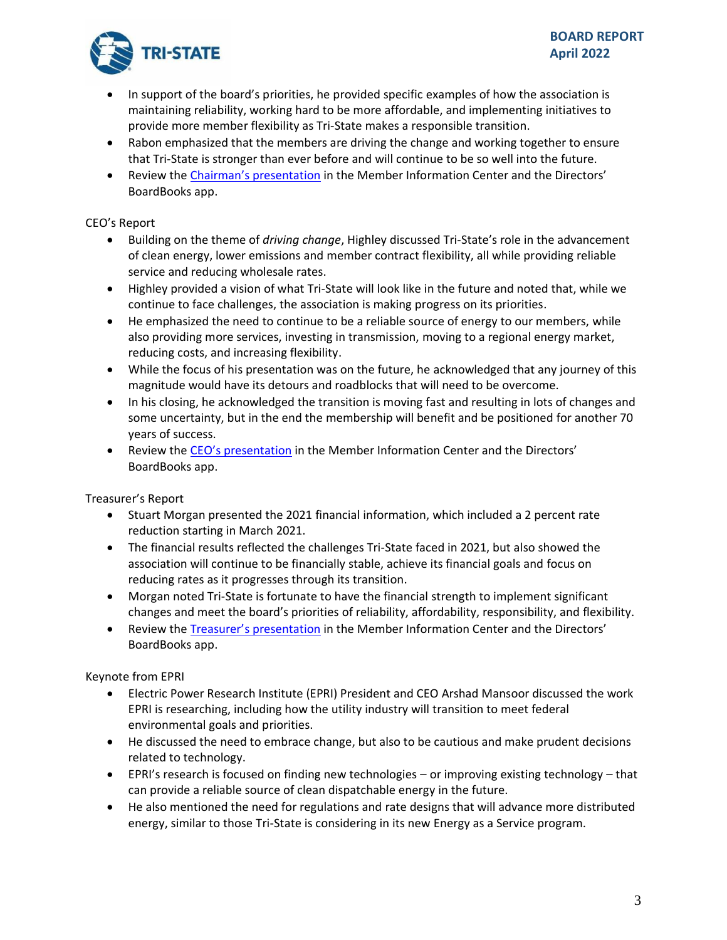

- In support of the board's priorities, he provided specific examples of how the association is maintaining reliability, working hard to be more affordable, and implementing initiatives to provide more member flexibility as Tri-State makes a responsible transition.
- Rabon emphasized that the members are driving the change and working together to ensure that Tri-State is stronger than ever before and will continue to be so well into the future.
- Review the Chairman's [presentation](https://mic.tristategt.org/Member%20Managers/2022%20Annual%20Meeting%20Agenda%20Chairmans%20Presentation%20V6.pdf) in the Member Information Center and the Directors' BoardBooks app.

# CEO's Report

- Building on the theme of *driving change*, Highley discussed Tri-State's role in the advancement of clean energy, lower emissions and member contract flexibility, all while providing reliable service and reducing wholesale rates.
- Highley provided a vision of what Tri-State will look like in the future and noted that, while we continue to face challenges, the association is making progress on its priorities.
- He emphasized the need to continue to be a reliable source of energy to our members, while also providing more services, investing in transmission, moving to a regional energy market, reducing costs, and increasing flexibility.
- While the focus of his presentation was on the future, he acknowledged that any journey of this magnitude would have its detours and roadblocks that will need to be overcome.
- In his closing, he acknowledged the transition is moving fast and resulting in lots of changes and some uncertainty, but in the end the membership will benefit and be positioned for another 70 years of success.
- Review the CEO's [presentation](https://mic.tristategt.org/Member%20Managers/2022-04-AM%20-%20Highley%20Driving%20Change.pdf) in the Member Information Center and the Directors' BoardBooks app.

Treasurer's Report

- Stuart Morgan presented the 2021 financial information, which included a 2 percent rate reduction starting in March 2021.
- The financial results reflected the challenges Tri-State faced in 2021, but also showed the association will continue to be financially stable, achieve its financial goals and focus on reducing rates as it progresses through its transition.
- Morgan noted Tri-State is fortunate to have the financial strength to implement significant changes and meet the board's priorities of reliability, affordability, responsibility, and flexibility.
- Review the Treasurer's [presentation](https://mic.tristategt.org/Member%20Managers/2022-04-AM%20-%20Treasurers%20Report.pdf) in the Member Information Center and the Directors' BoardBooks app.

Keynote from EPRI

- Electric Power Research Institute (EPRI) President and CEO Arshad Mansoor discussed the work EPRI is researching, including how the utility industry will transition to meet federal environmental goals and priorities.
- He discussed the need to embrace change, but also to be cautious and make prudent decisions related to technology.
- EPRI's research is focused on finding new technologies or improving existing technology that can provide a reliable source of clean dispatchable energy in the future.
- He also mentioned the need for regulations and rate designs that will advance more distributed energy, similar to those Tri-State is considering in its new Energy as a Service program.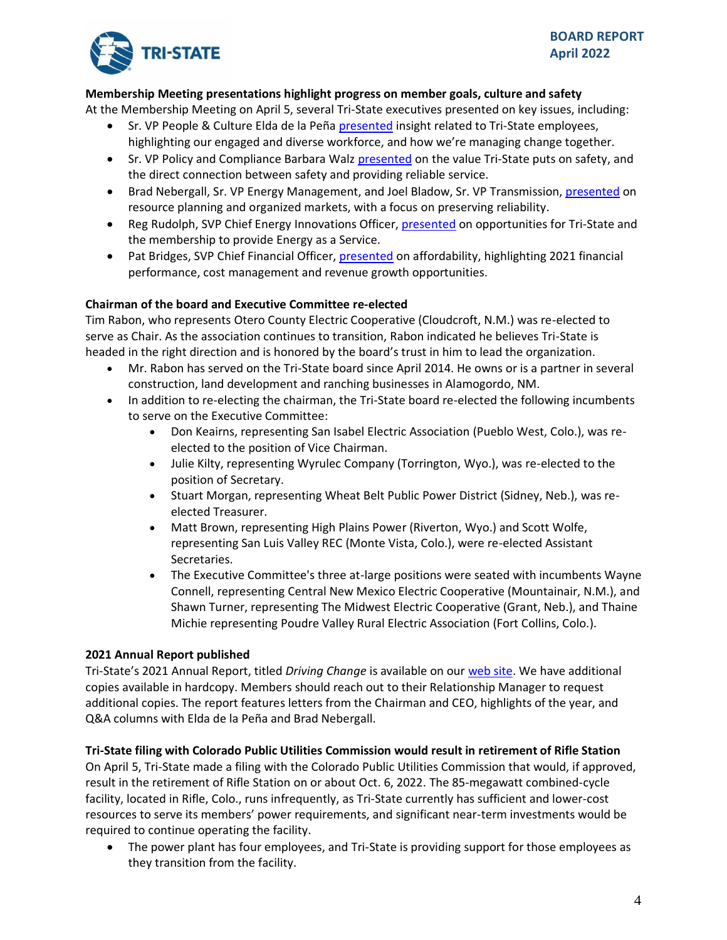

# **Membership Meeting presentations highlight progress on member goals, culture and safety**

At the Membership Meeting on April 5, several Tri-State executives presented on key issues, including:

- Sr. VP People & Culture Elda de la Peña [presented](https://mic.tristategt.org/Member%20Managers/2022-04-MM%20-%20People%20and%20Culture-delaPena.pdf) insight related to Tri-State employees, highlighting our engaged and diverse workforce, and how we're managing change together.
- Sr. VP Policy and Compliance Barbara Walz [presented](https://mic.tristategt.org/Member%20Managers/2022-04-MM%20-%20Safety-Walz.pdf) on the value Tri-State puts on safety, and the direct connection between safety and providing reliable service.
- Brad Nebergall, Sr. VP Energy Management, and Joel Bladow, Sr. VP Transmission, [presented](https://mic.tristategt.org/Member%20Managers/2022-04-MM%20-%20Resource%20Planning%20Organized%20Markets-Nebergall-Bladow.pdf) on resource planning and organized markets, with a focus on preserving reliability.
- Reg Rudolph, SVP Chief Energy Innovations Officer, [presented](https://mic.tristategt.org/Member%20Managers/2022-04-MM%20-%20Energy%20as%20a%20Service-Rudolph.pdf) on opportunities for Tri-State and the membership to provide Energy as a Service.
- Pat Bridges, SVP Chief Financial Officer, [presented](https://mic.tristategt.org/Member%20Managers/2022-04-MM%20-%20Driving%20Affordability-Bridges.pdf) on affordability, highlighting 2021 financial performance, cost management and revenue growth opportunities.

# **Chairman of the board and Executive Committee re-elected**

Tim Rabon, who represents Otero County Electric Cooperative (Cloudcroft, N.M.) was re-elected to serve as Chair. As the association continues to transition, Rabon indicated he believes Tri-State is headed in the right direction and is honored by the board's trust in him to lead the organization.

- Mr. Rabon has served on the Tri-State board since April 2014. He owns or is a partner in several construction, land development and ranching businesses in Alamogordo, NM.
- In addition to re-electing the chairman, the Tri-State board re-elected the following incumbents to serve on the Executive Committee:
	- Don Keairns, representing San Isabel Electric Association (Pueblo West, Colo.), was reelected to the position of Vice Chairman.
	- Julie Kilty, representing Wyrulec Company (Torrington, Wyo.), was re-elected to the position of Secretary.
	- Stuart Morgan, representing Wheat Belt Public Power District (Sidney, Neb.), was reelected Treasurer.
	- Matt Brown, representing High Plains Power (Riverton, Wyo.) and Scott Wolfe, representing San Luis Valley REC (Monte Vista, Colo.), were re-elected Assistant Secretaries.
	- The Executive Committee's three at-large positions were seated with incumbents Wayne Connell, representing Central New Mexico Electric Cooperative (Mountainair, N.M.), and Shawn Turner, representing The Midwest Electric Cooperative (Grant, Neb.), and Thaine Michie representing Poudre Valley Rural Electric Association (Fort Collins, Colo.).

# **2021 Annual Report published**

Tri-State's 2021 Annual Report, titled *Driving Change* is available on our [web site.](https://www.tristate.coop/sites/default/files/PDF/Annual%20reports/Tri-State-Annual-Report-FY2021.pdf) We have additional copies available in hardcopy. Members should reach out to their Relationship Manager to request additional copies. The report features letters from the Chairman and CEO, highlights of the year, and Q&A columns with Elda de la Peña and Brad Nebergall.

# **Tri-State filing with Colorado Public Utilities Commission would result in retirement of Rifle Station**

On April 5, Tri-State made a filing with the Colorado Public Utilities Commission that would, if approved, result in the retirement of Rifle Station on or about Oct. 6, 2022. The 85-megawatt combined-cycle facility, located in Rifle, Colo., runs infrequently, as Tri-State currently has sufficient and lower-cost resources to serve its members' power requirements, and significant near-term investments would be required to continue operating the facility.

• The power plant has four employees, and Tri-State is providing support for those employees as they transition from the facility.